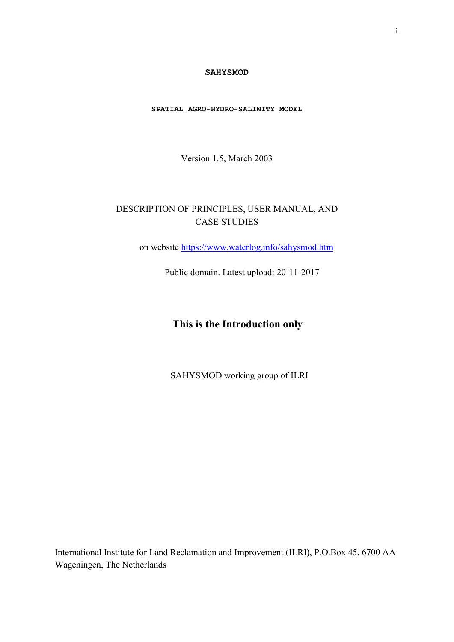#### **SAHYSMOD**

**SPATIAL AGRO-HYDRO-SALINITY MODEL** 

Version 1.5, March 2003

# DESCRIPTION OF PRINCIPLES, USER MANUAL, AND CASE STUDIES

on website https://www.waterlog.info/sahysmod.htm

Public domain. Latest upload: 20-11-2017

# **This is the Introduction only**

SAHYSMOD working group of ILRI

International Institute for Land Reclamation and Improvement (ILRI), P.O.Box 45, 6700 AA Wageningen, The Netherlands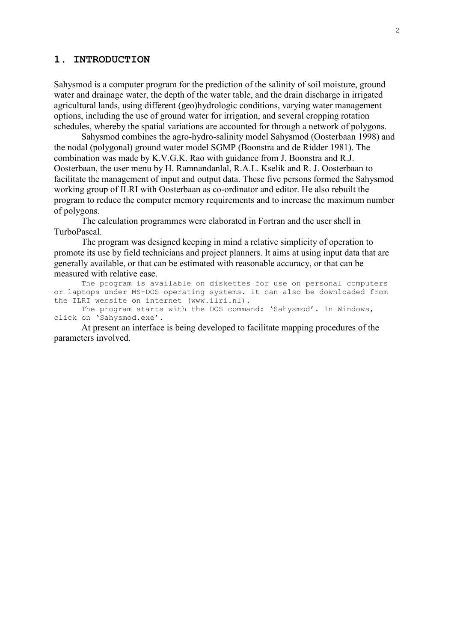# **1. INTRODUCTION**

Sahysmod is a computer program for the prediction of the salinity of soil moisture, ground water and drainage water, the depth of the water table, and the drain discharge in irrigated agricultural lands, using different (geo)hydrologic conditions, varying water management options, including the use of ground water for irrigation, and several cropping rotation schedules, whereby the spatial variations are accounted for through a network of polygons.

 Sahysmod combines the agro-hydro-salinity model Sahysmod (Oosterbaan 1998) and the nodal (polygonal) ground water model SGMP (Boonstra and de Ridder 1981). The combination was made by K.V.G.K. Rao with guidance from J. Boonstra and R.J. Oosterbaan, the user menu by H. Ramnandanlal, R.A.L. Kselik and R. J. Oosterbaan to facilitate the management of input and output data. These five persons formed the Sahysmod working group of ILRI with Oosterbaan as co-ordinator and editor. He also rebuilt the program to reduce the computer memory requirements and to increase the maximum number of polygons.

 The calculation programmes were elaborated in Fortran and the user shell in TurboPascal.

 The program was designed keeping in mind a relative simplicity of operation to promote its use by field technicians and project planners. It aims at using input data that are generally available, or that can be estimated with reasonable accuracy, or that can be measured with relative ease.

 The program is available on diskettes for use on personal computers or laptops under MS-DOS operating systems. It can also be downloaded from the ILRI website on internet (www.ilri.nl).

The program starts with the DOS command: 'Sahysmod'. In Windows, click on 'Sahysmod.exe'.

 At present an interface is being developed to facilitate mapping procedures of the parameters involved.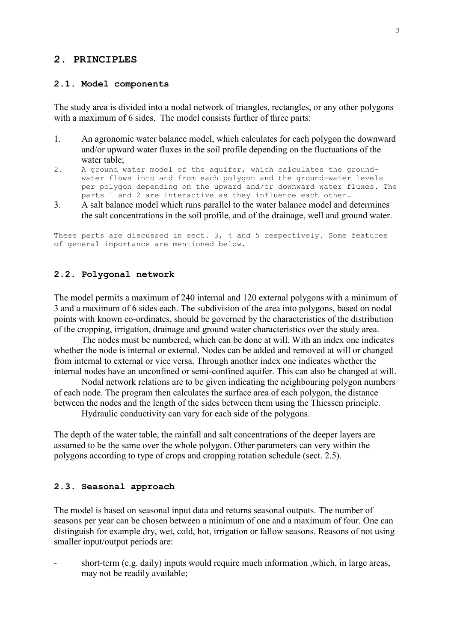# **2. PRINCIPLES**

#### **2.1. Model components**

The study area is divided into a nodal network of triangles, rectangles, or any other polygons with a maximum of 6 sides. The model consists further of three parts:

- 1. An agronomic water balance model, which calculates for each polygon the downward and/or upward water fluxes in the soil profile depending on the fluctuations of the water table;
- 2. A ground water model of the aquifer, which calculates the groundwater flows into and from each polygon and the ground-water levels per polygon depending on the upward and/or downward water fluxes. The parts 1 and 2 are interactive as they influence each other.
- 3. A salt balance model which runs parallel to the water balance model and determines the salt concentrations in the soil profile, and of the drainage, well and ground water.

These parts are discussed in sect. 3, 4 and 5 respectively. Some features of general importance are mentioned below.

# **2.2. Polygonal network**

The model permits a maximum of 240 internal and 120 external polygons with a minimum of 3 and a maximum of 6 sides each. The subdivision of the area into polygons, based on nodal points with known co-ordinates, should be governed by the characteristics of the distribution of the cropping, irrigation, drainage and ground water characteristics over the study area.

 The nodes must be numbered, which can be done at will. With an index one indicates whether the node is internal or external. Nodes can be added and removed at will or changed from internal to external or vice versa. Through another index one indicates whether the internal nodes have an unconfined or semi-confined aquifer. This can also be changed at will.

 Nodal network relations are to be given indicating the neighbouring polygon numbers of each node. The program then calculates the surface area of each polygon, the distance between the nodes and the length of the sides between them using the Thiessen principle.

Hydraulic conductivity can vary for each side of the polygons.

The depth of the water table, the rainfall and salt concentrations of the deeper layers are assumed to be the same over the whole polygon. Other parameters can very within the polygons according to type of crops and cropping rotation schedule (sect. 2.5).

#### **2.3. Seasonal approach**

The model is based on seasonal input data and returns seasonal outputs. The number of seasons per year can be chosen between a minimum of one and a maximum of four. One can distinguish for example dry, wet, cold, hot, irrigation or fallow seasons. Reasons of not using smaller input/output periods are:

short-term (e.g. daily) inputs would require much information , which, in large areas, may not be readily available;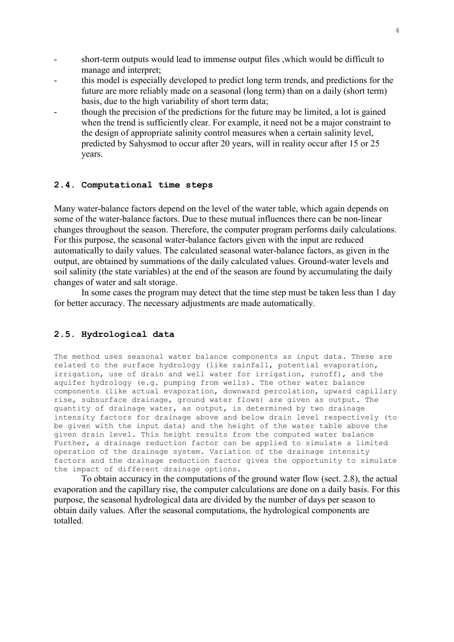- short-term outputs would lead to immense output files ,which would be difficult to manage and interpret;
- this model is especially developed to predict long term trends, and predictions for the future are more reliably made on a seasonal (long term) than on a daily (short term) basis, due to the high variability of short term data;
- though the precision of the predictions for the future may be limited, a lot is gained when the trend is sufficiently clear. For example, it need not be a major constraint to the design of appropriate salinity control measures when a certain salinity level, predicted by Sahysmod to occur after 20 years, will in reality occur after 15 or 25 years.

## **2.4. Computational time steps**

Many water-balance factors depend on the level of the water table, which again depends on some of the water-balance factors. Due to these mutual influences there can be non-linear changes throughout the season. Therefore, the computer program performs daily calculations. For this purpose, the seasonal water-balance factors given with the input are reduced automatically to daily values. The calculated seasonal water-balance factors, as given in the output, are obtained by summations of the daily calculated values. Ground-water levels and soil salinity (the state variables) at the end of the season are found by accumulating the daily changes of water and salt storage.

 In some cases the program may detect that the time step must be taken less than 1 day for better accuracy. The necessary adjustments are made automatically.

# **2.5. Hydrological data**

The method uses seasonal water balance components as input data. These are related to the surface hydrology (like rainfall, potential evaporation, irrigation, use of drain and well water for irrigation, runoff), and the aquifer hydrology (e.g. pumping from wells). The other water balance components (like actual evaporation, downward percolation, upward capillary rise, subsurface drainage, ground water flows) are given as output. The quantity of drainage water, as output, is determined by two drainage intensity factors for drainage above and below drain level respectively (to be given with the input data) and the height of the water table above the given drain level. This height results from the computed water balance Further, a drainage reduction factor can be applied to simulate a limited operation of the drainage system. Variation of the drainage intensity factors and the drainage reduction factor gives the opportunity to simulate the impact of different drainage options.

 To obtain accuracy in the computations of the ground water flow (sect. 2.8), the actual evaporation and the capillary rise, the computer calculations are done on a daily basis. For this purpose, the seasonal hydrological data are divided by the number of days per season to obtain daily values. After the seasonal computations, the hydrological components are totalled.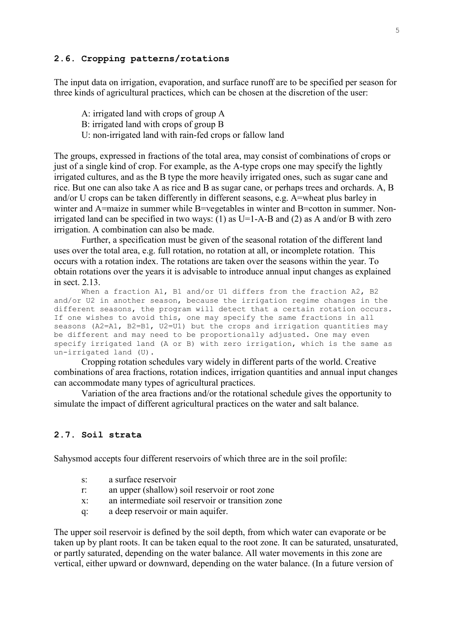## **2.6. Cropping patterns/rotations**

The input data on irrigation, evaporation, and surface runoff are to be specified per season for three kinds of agricultural practices, which can be chosen at the discretion of the user:

- A: irrigated land with crops of group A
- B: irrigated land with crops of group B
- U: non-irrigated land with rain-fed crops or fallow land

The groups, expressed in fractions of the total area, may consist of combinations of crops or just of a single kind of crop. For example, as the A-type crops one may specify the lightly irrigated cultures, and as the B type the more heavily irrigated ones, such as sugar cane and rice. But one can also take A as rice and B as sugar cane, or perhaps trees and orchards. A, B and/or U crops can be taken differently in different seasons, e.g. A=wheat plus barley in winter and A=maize in summer while B=vegetables in winter and B=cotton in summer. Nonirrigated land can be specified in two ways: (1) as  $U=1-A-B$  and (2) as A and/or B with zero irrigation. A combination can also be made.

 Further, a specification must be given of the seasonal rotation of the different land uses over the total area, e.g. full rotation, no rotation at all, or incomplete rotation. This occurs with a rotation index. The rotations are taken over the seasons within the year. To obtain rotations over the years it is advisable to introduce annual input changes as explained in sect. 2.13.

When a fraction A1, B1 and/or U1 differs from the fraction A2, B2 and/or U2 in another season, because the irrigation regime changes in the different seasons, the program will detect that a certain rotation occurs. If one wishes to avoid this, one may specify the same fractions in all seasons (A2=A1, B2=B1, U2=U1) but the crops and irrigation quantities may be different and may need to be proportionally adjusted. One may even specify irrigated land (A or B) with zero irrigation, which is the same as un-irrigated land (U).

 Cropping rotation schedules vary widely in different parts of the world. Creative combinations of area fractions, rotation indices, irrigation quantities and annual input changes can accommodate many types of agricultural practices.

 Variation of the area fractions and/or the rotational schedule gives the opportunity to simulate the impact of different agricultural practices on the water and salt balance.

#### **2.7. Soil strata**

Sahysmod accepts four different reservoirs of which three are in the soil profile:

- s: a surface reservoir
- r: an upper (shallow) soil reservoir or root zone
- x: an intermediate soil reservoir or transition zone
- q: a deep reservoir or main aquifer.

The upper soil reservoir is defined by the soil depth, from which water can evaporate or be taken up by plant roots. It can be taken equal to the root zone. It can be saturated, unsaturated, or partly saturated, depending on the water balance. All water movements in this zone are vertical, either upward or downward, depending on the water balance. (In a future version of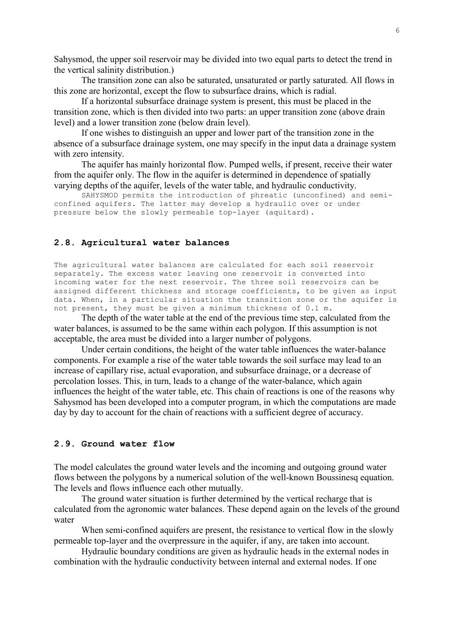Sahysmod, the upper soil reservoir may be divided into two equal parts to detect the trend in the vertical salinity distribution.)

 The transition zone can also be saturated, unsaturated or partly saturated. All flows in this zone are horizontal, except the flow to subsurface drains, which is radial.

 If a horizontal subsurface drainage system is present, this must be placed in the transition zone, which is then divided into two parts: an upper transition zone (above drain level) and a lower transition zone (below drain level).

 If one wishes to distinguish an upper and lower part of the transition zone in the absence of a subsurface drainage system, one may specify in the input data a drainage system with zero intensity.

 The aquifer has mainly horizontal flow. Pumped wells, if present, receive their water from the aquifer only. The flow in the aquifer is determined in dependence of spatially varying depths of the aquifer, levels of the water table, and hydraulic conductivity.

 SAHYSMOD permits the introduction of phreatic (unconfined) and semiconfined aquifers. The latter may develop a hydraulic over or under pressure below the slowly permeable top-layer (aquitard).

# **2.8. Agricultural water balances**

The agricultural water balances are calculated for each soil reservoir separately. The excess water leaving one reservoir is converted into incoming water for the next reservoir. The three soil reservoirs can be assigned different thickness and storage coefficients, to be given as input data. When, in a particular situation the transition zone or the aquifer is not present, they must be given a minimum thickness of 0.1 m.

 The depth of the water table at the end of the previous time step, calculated from the water balances, is assumed to be the same within each polygon. If this assumption is not acceptable, the area must be divided into a larger number of polygons.

 Under certain conditions, the height of the water table influences the water-balance components. For example a rise of the water table towards the soil surface may lead to an increase of capillary rise, actual evaporation, and subsurface drainage, or a decrease of percolation losses. This, in turn, leads to a change of the water-balance, which again influences the height of the water table, etc. This chain of reactions is one of the reasons why Sahysmod has been developed into a computer program, in which the computations are made day by day to account for the chain of reactions with a sufficient degree of accuracy.

### **2.9. Ground water flow**

The model calculates the ground water levels and the incoming and outgoing ground water flows between the polygons by a numerical solution of the well-known Boussinesq equation. The levels and flows influence each other mutually.

 The ground water situation is further determined by the vertical recharge that is calculated from the agronomic water balances. These depend again on the levels of the ground water

When semi-confined aquifers are present, the resistance to vertical flow in the slowly permeable top-layer and the overpressure in the aquifer, if any, are taken into account.

 Hydraulic boundary conditions are given as hydraulic heads in the external nodes in combination with the hydraulic conductivity between internal and external nodes. If one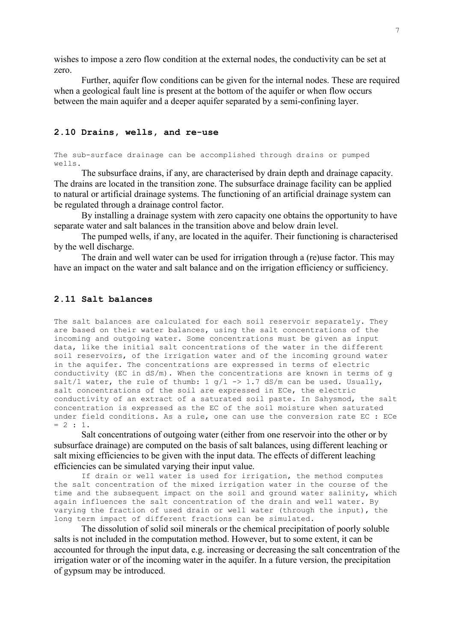wishes to impose a zero flow condition at the external nodes, the conductivity can be set at zero.

 Further, aquifer flow conditions can be given for the internal nodes. These are required when a geological fault line is present at the bottom of the aquifer or when flow occurs between the main aquifer and a deeper aquifer separated by a semi-confining layer.

# **2.10 Drains, wells, and re-use**

The sub-surface drainage can be accomplished through drains or pumped wells.

 The subsurface drains, if any, are characterised by drain depth and drainage capacity. The drains are located in the transition zone. The subsurface drainage facility can be applied to natural or artificial drainage systems. The functioning of an artificial drainage system can be regulated through a drainage control factor.

 By installing a drainage system with zero capacity one obtains the opportunity to have separate water and salt balances in the transition above and below drain level.

 The pumped wells, if any, are located in the aquifer. Their functioning is characterised by the well discharge.

 The drain and well water can be used for irrigation through a (re)use factor. This may have an impact on the water and salt balance and on the irrigation efficiency or sufficiency.

### **2.11 Salt balances**

The salt balances are calculated for each soil reservoir separately. They are based on their water balances, using the salt concentrations of the incoming and outgoing water. Some concentrations must be given as input data, like the initial salt concentrations of the water in the different soil reservoirs, of the irrigation water and of the incoming ground water in the aquifer. The concentrations are expressed in terms of electric conductivity (EC in dS/m). When the concentrations are known in terms of g salt/1 water, the rule of thumb:  $1$  g/1 -> 1.7 dS/m can be used. Usually, salt concentrations of the soil are expressed in ECe, the electric conductivity of an extract of a saturated soil paste. In Sahysmod, the salt concentration is expressed as the EC of the soil moisture when saturated under field conditions. As a rule, one can use the conversion rate EC : ECe  $= 2 : 1.$ 

 Salt concentrations of outgoing water (either from one reservoir into the other or by subsurface drainage) are computed on the basis of salt balances, using different leaching or salt mixing efficiencies to be given with the input data. The effects of different leaching efficiencies can be simulated varying their input value.

If drain or well water is used for irrigation, the method computes the salt concentration of the mixed irrigation water in the course of the time and the subsequent impact on the soil and ground water salinity, which again influences the salt concentration of the drain and well water. By varying the fraction of used drain or well water (through the input), the long term impact of different fractions can be simulated.

 The dissolution of solid soil minerals or the chemical precipitation of poorly soluble salts is not included in the computation method. However, but to some extent, it can be accounted for through the input data, e.g. increasing or decreasing the salt concentration of the irrigation water or of the incoming water in the aquifer. In a future version, the precipitation of gypsum may be introduced.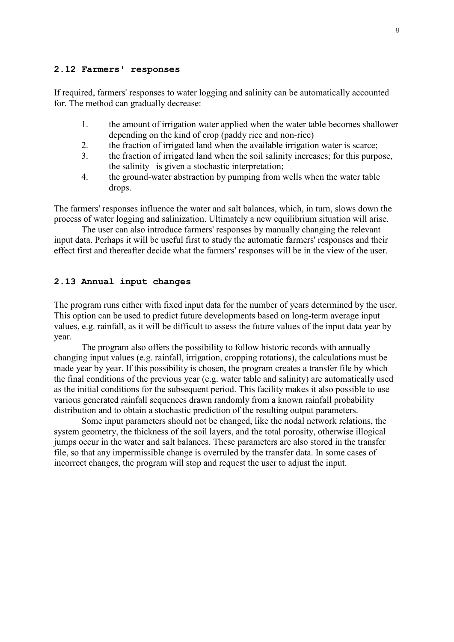### **2.12 Farmers' responses**

If required, farmers' responses to water logging and salinity can be automatically accounted for. The method can gradually decrease:

- 1. the amount of irrigation water applied when the water table becomes shallower depending on the kind of crop (paddy rice and non-rice)
- 2. the fraction of irrigated land when the available irrigation water is scarce;
- 3. the fraction of irrigated land when the soil salinity increases; for this purpose, the salinity is given a stochastic interpretation;
- 4. the ground-water abstraction by pumping from wells when the water table drops.

The farmers' responses influence the water and salt balances, which, in turn, slows down the process of water logging and salinization. Ultimately a new equilibrium situation will arise.

 The user can also introduce farmers' responses by manually changing the relevant input data. Perhaps it will be useful first to study the automatic farmers' responses and their effect first and thereafter decide what the farmers' responses will be in the view of the user.

## **2.13 Annual input changes**

The program runs either with fixed input data for the number of years determined by the user. This option can be used to predict future developments based on long-term average input values, e.g. rainfall, as it will be difficult to assess the future values of the input data year by year.

 The program also offers the possibility to follow historic records with annually changing input values (e.g. rainfall, irrigation, cropping rotations), the calculations must be made year by year. If this possibility is chosen, the program creates a transfer file by which the final conditions of the previous year (e.g. water table and salinity) are automatically used as the initial conditions for the subsequent period. This facility makes it also possible to use various generated rainfall sequences drawn randomly from a known rainfall probability distribution and to obtain a stochastic prediction of the resulting output parameters.

 Some input parameters should not be changed, like the nodal network relations, the system geometry, the thickness of the soil layers, and the total porosity, otherwise illogical jumps occur in the water and salt balances. These parameters are also stored in the transfer file, so that any impermissible change is overruled by the transfer data. In some cases of incorrect changes, the program will stop and request the user to adjust the input.